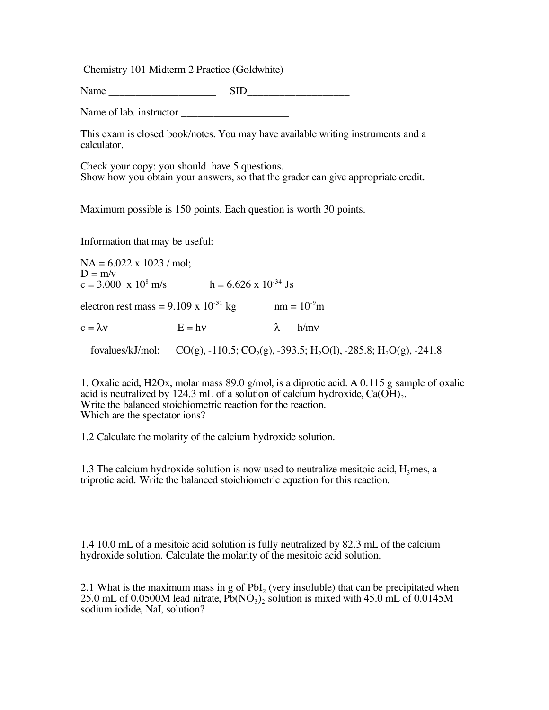Chemistry 101 Midterm 2 Practice (Goldwhite)

Name  $\qquad \qquad$  SID

Name of lab. instructor \_\_\_\_\_\_\_\_\_\_\_\_\_\_\_\_\_\_\_\_

This exam is closed book/notes. You may have available writing instruments and a calculator.

Check your copy: you should have 5 questions.<br>Show how you obtain your answers, so that the grader can give appropriate credit.

Maximum possible is 150 points. Each question is worth 30 points.

Information that may be useful:

 $NA = 6.022 \times 1023$  / mol:  $D = m/v$  $c = 3.000 \text{ x } 10^8 \text{ m/s}$  h = 6.626 x 10<sup>-34</sup> Js electron rest mass =  $9.109 \times 10^{-31}$  kg nm =  $10^{-9}$ m  $c = \lambda v$  E = hv  $\lambda$  h/mv fovalues/kJ/mol:  $CO(g)$ ,  $-110.5$ ;  $CO<sub>2</sub>(g)$ ,  $-393.5$ ; H<sub>2</sub>O(l),  $-285.8$ ; H<sub>2</sub>O(g),  $-241.8$ 

1. Oxalic acid, H2Ox, molar mass 89.0 g/mol, is a diprotic acid. A 0.115 g sample of oxalic acid is neutralized by 124.3 mL of a solution of calcium hydroxide,  $Ca(OH)_{2}$ . Write the balanced stoichiometric reaction for the reaction. Which are the spectator ions?

1.2 Calculate the molarity of the calcium hydroxide solution.

1.3 The calcium hydroxide solution is now used to neutralize mesitoic acid,  $H_3$ mes, a triprotic acid. Write the balanced stoichiometric equation for this reaction.

1.4 10.0 mL of a mesitoic acid solution is fully neutralized by 82.3 mL of the calcium hydroxide solution. Calculate the molarity of the mesitoic acid solution.

2.1 What is the maximum mass in g of  $PbI_2$  (very insoluble) that can be precipitated when 25.0 mL of 0.0500M lead nitrate,  $\overline{Pb}(\overline{NO_3})$  solution is mixed with 45.0 mL of 0.0145M sodium iodide, NaI, solution?